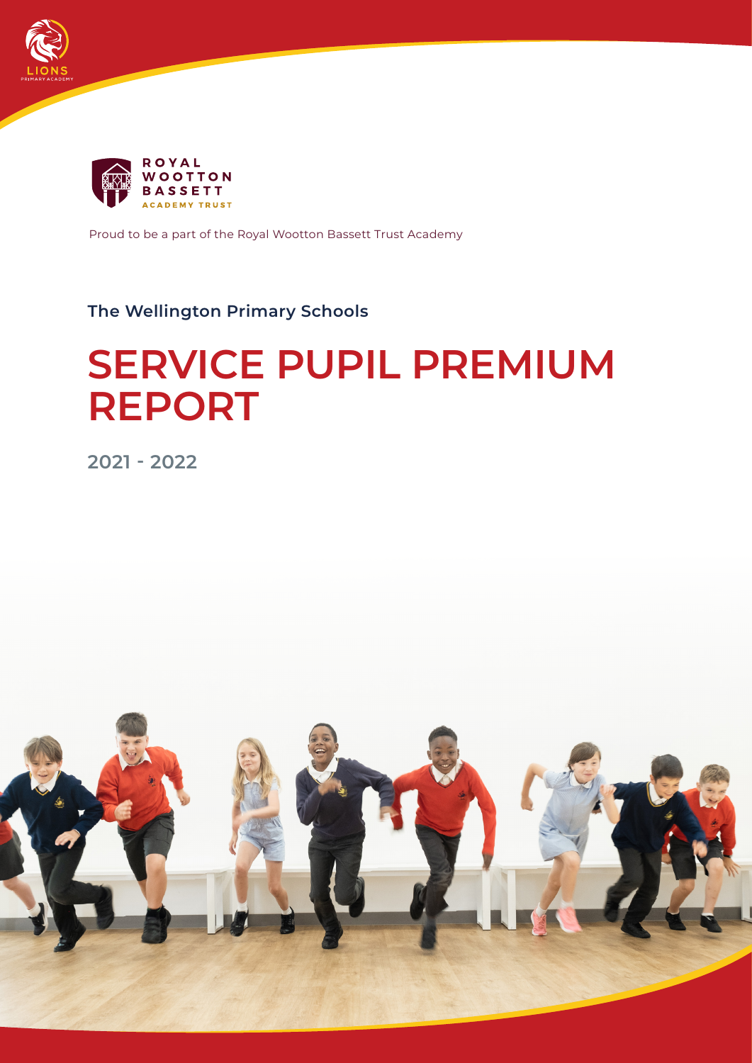



Proud to be a part of the Royal Wootton Bassett Trust Academy

# **The Wellington Primary Schools**

# **SERVICE PUPIL PREMIUM REPORT**

**2021 - 2022**

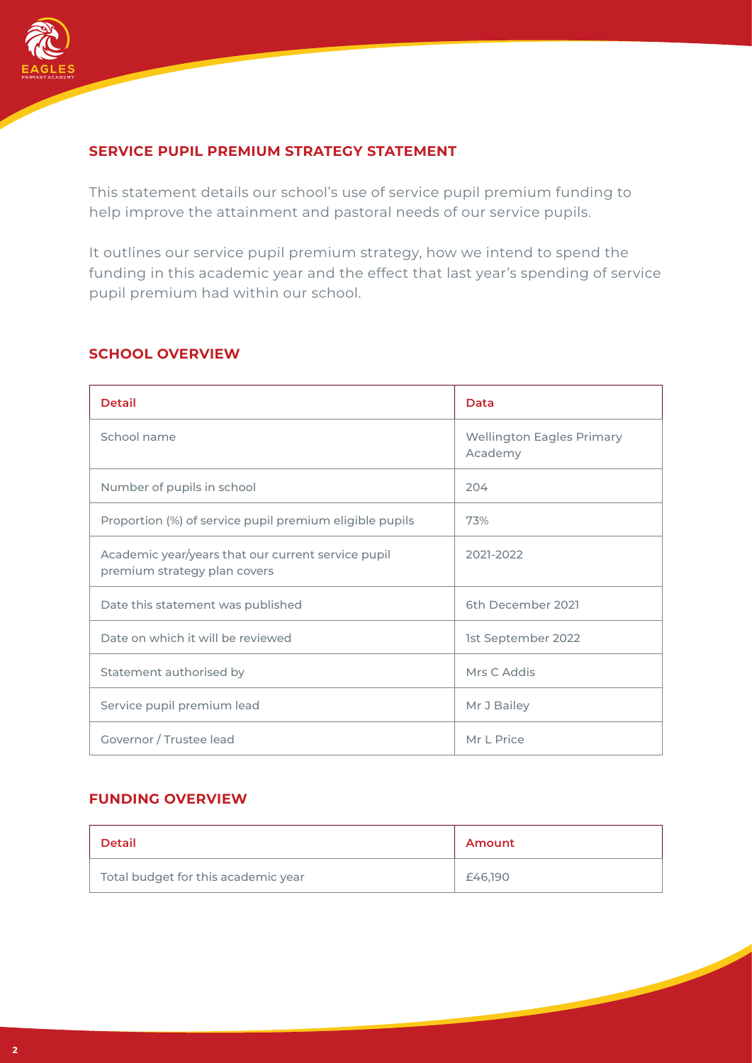

## **SERVICE PUPIL PREMIUM STRATEGY STATEMENT**

This statement details our school's use of service pupil premium funding to help improve the attainment and pastoral needs of our service pupils.

It outlines our service pupil premium strategy, how we intend to spend the funding in this academic year and the effect that last year's spending of service pupil premium had within our school.

| <b>Detail</b>                                                                      | Data                                        |
|------------------------------------------------------------------------------------|---------------------------------------------|
| School name                                                                        | <b>Wellington Eagles Primary</b><br>Academy |
| Number of pupils in school                                                         | 204                                         |
| Proportion (%) of service pupil premium eligible pupils                            | 73%                                         |
| Academic year/years that our current service pupil<br>premium strategy plan covers | 2021-2022                                   |
| Date this statement was published                                                  | 6th December 2021                           |
| Date on which it will be reviewed                                                  | 1st September 2022                          |
| Statement authorised by                                                            | Mrs C Addis                                 |
| Service pupil premium lead                                                         | Mr J Bailey                                 |
| Governor / Trustee lead                                                            | Mr L Price                                  |

#### **SCHOOL OVERVIEW**

#### **FUNDING OVERVIEW**

| <b>Detail</b>                       | Amount  |
|-------------------------------------|---------|
| Total budget for this academic year | £46,190 |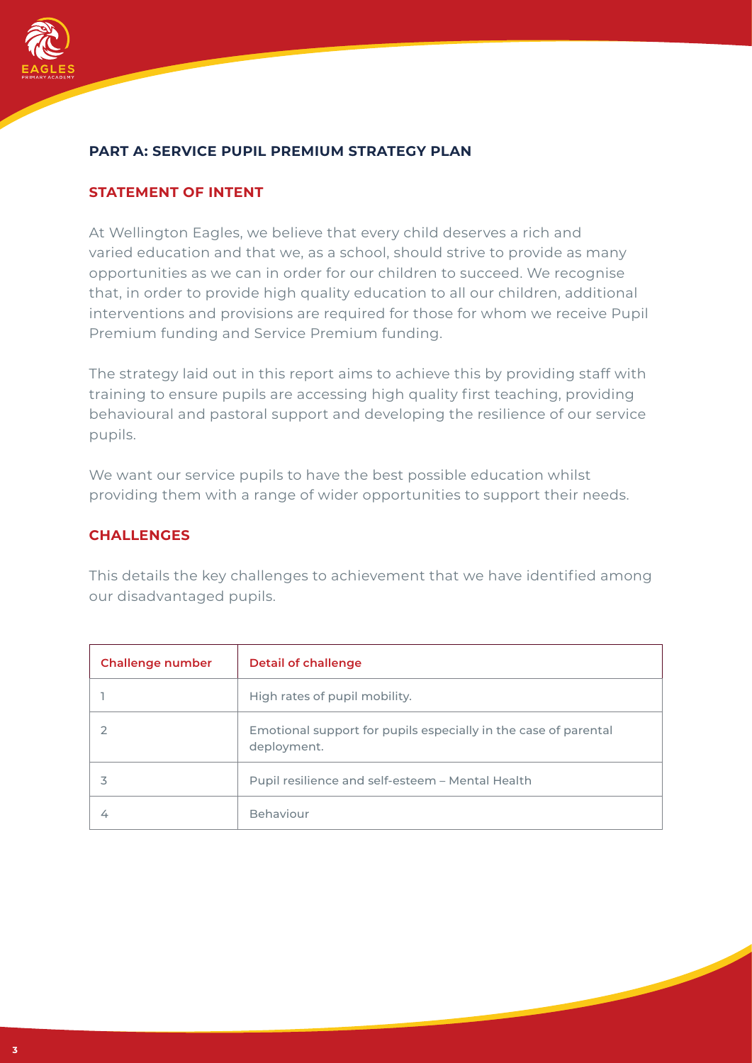

## **PART A: SERVICE PUPIL PREMIUM STRATEGY PLAN**

#### **STATEMENT OF INTENT**

At Wellington Eagles, we believe that every child deserves a rich and varied education and that we, as a school, should strive to provide as many opportunities as we can in order for our children to succeed. We recognise that, in order to provide high quality education to all our children, additional interventions and provisions are required for those for whom we receive Pupil Premium funding and Service Premium funding.

The strategy laid out in this report aims to achieve this by providing staff with training to ensure pupils are accessing high quality first teaching, providing behavioural and pastoral support and developing the resilience of our service pupils.

We want our service pupils to have the best possible education whilst providing them with a range of wider opportunities to support their needs.

#### **CHALLENGES**

This details the key challenges to achievement that we have identified among our disadvantaged pupils.

| <b>Challenge number</b> | <b>Detail of challenge</b>                                                     |
|-------------------------|--------------------------------------------------------------------------------|
|                         | High rates of pupil mobility.                                                  |
|                         | Emotional support for pupils especially in the case of parental<br>deployment. |
|                         | Pupil resilience and self-esteem - Mental Health                               |
|                         | <b>Behaviour</b>                                                               |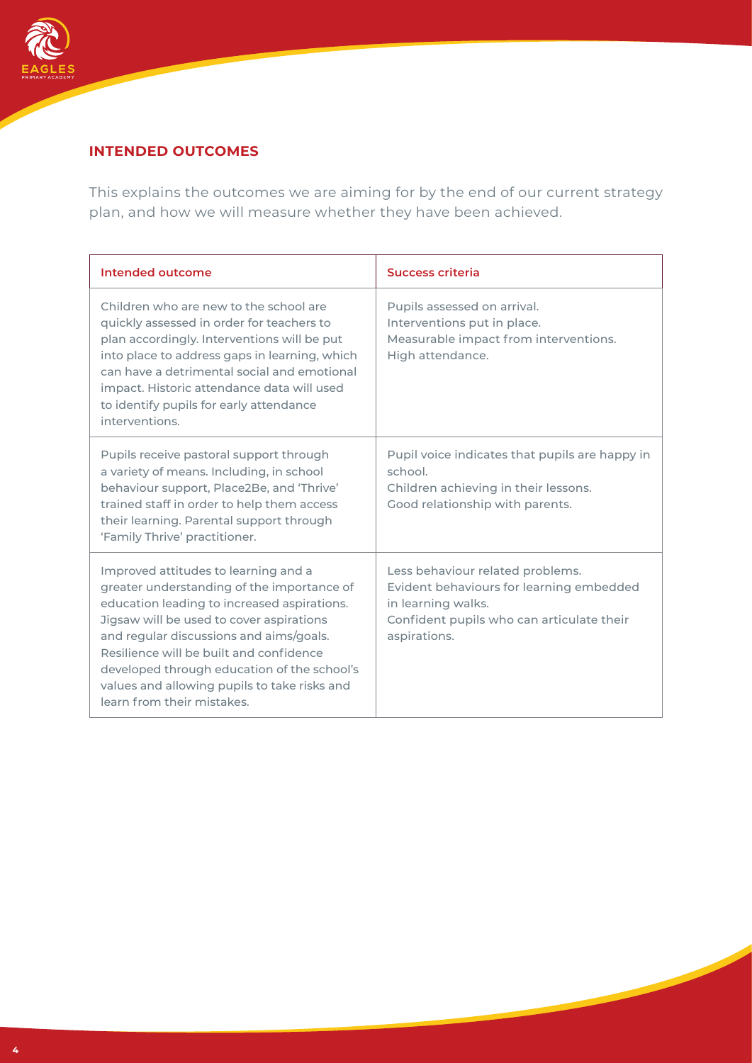

## **INTENDED OUTCOMES**

This explains the outcomes we are aiming for by the end of our current strategy plan, and how we will measure whether they have been achieved.

| Intended outcome                                                                                                                                                                                                                                                                                                                                                                                 | Success criteria                                                                                                                                                |
|--------------------------------------------------------------------------------------------------------------------------------------------------------------------------------------------------------------------------------------------------------------------------------------------------------------------------------------------------------------------------------------------------|-----------------------------------------------------------------------------------------------------------------------------------------------------------------|
| Children who are new to the school are<br>quickly assessed in order for teachers to<br>plan accordingly. Interventions will be put<br>into place to address gaps in learning, which<br>can have a detrimental social and emotional<br>impact. Historic attendance data will used<br>to identify pupils for early attendance<br>interventions.                                                    | Pupils assessed on arrival.<br>Interventions put in place.<br>Measurable impact from interventions.<br>High attendance.                                         |
| Pupils receive pastoral support through<br>a variety of means. Including, in school<br>behaviour support, Place2Be, and 'Thrive'<br>trained staff in order to help them access<br>their learning. Parental support through<br>'Family Thrive' practitioner.                                                                                                                                      | Pupil voice indicates that pupils are happy in<br>school.<br>Children achieving in their lessons.<br>Good relationship with parents.                            |
| Improved attitudes to learning and a<br>greater understanding of the importance of<br>education leading to increased aspirations.<br>Jigsaw will be used to cover aspirations<br>and regular discussions and aims/goals.<br>Resilience will be built and confidence<br>developed through education of the school's<br>values and allowing pupils to take risks and<br>learn from their mistakes. | Less behaviour related problems.<br>Evident behaviours for learning embedded<br>in learning walks.<br>Confident pupils who can articulate their<br>aspirations. |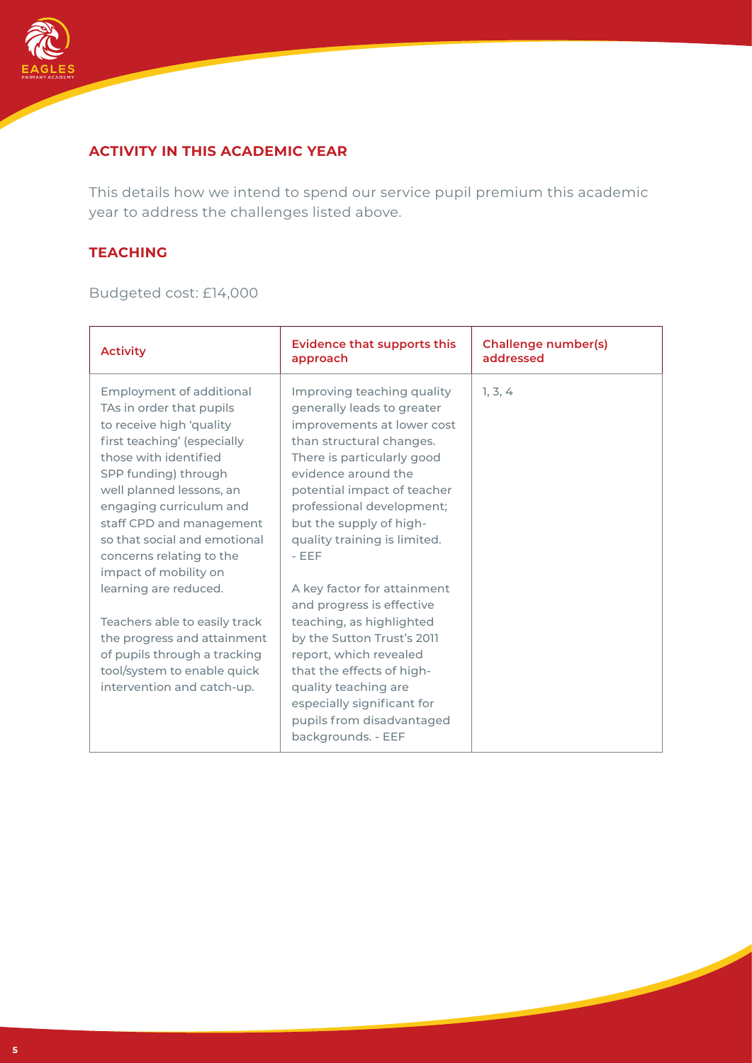

## **ACTIVITY IN THIS ACADEMIC YEAR**

This details how we intend to spend our service pupil premium this academic year to address the challenges listed above.

#### **TEACHING**

Budgeted cost: £14,000

| <b>Activity</b>                                                                                                                                                                                                                                                                                                                          | <b>Evidence that supports this</b><br>approach                                                                                                                                                                                                                                                           | <b>Challenge number(s)</b><br>addressed |
|------------------------------------------------------------------------------------------------------------------------------------------------------------------------------------------------------------------------------------------------------------------------------------------------------------------------------------------|----------------------------------------------------------------------------------------------------------------------------------------------------------------------------------------------------------------------------------------------------------------------------------------------------------|-----------------------------------------|
| Employment of additional<br>TAs in order that pupils<br>to receive high 'quality<br>first teaching' (especially<br>those with identified<br>SPP funding) through<br>well planned lessons, an<br>engaging curriculum and<br>staff CPD and management<br>so that social and emotional<br>concerns relating to the<br>impact of mobility on | Improving teaching quality<br>generally leads to greater<br>improvements at lower cost<br>than structural changes.<br>There is particularly good<br>evidence around the<br>potential impact of teacher<br>professional development;<br>but the supply of high-<br>quality training is limited.<br>$-EEF$ | 1, 3, 4                                 |
| learning are reduced.<br>Teachers able to easily track<br>the progress and attainment<br>of pupils through a tracking<br>tool/system to enable quick<br>intervention and catch-up.                                                                                                                                                       | A key factor for attainment<br>and progress is effective<br>teaching, as highlighted<br>by the Sutton Trust's 2011<br>report, which revealed<br>that the effects of high-<br>quality teaching are<br>especially significant for<br>pupils from disadvantaged<br>backgrounds. - EEF                       |                                         |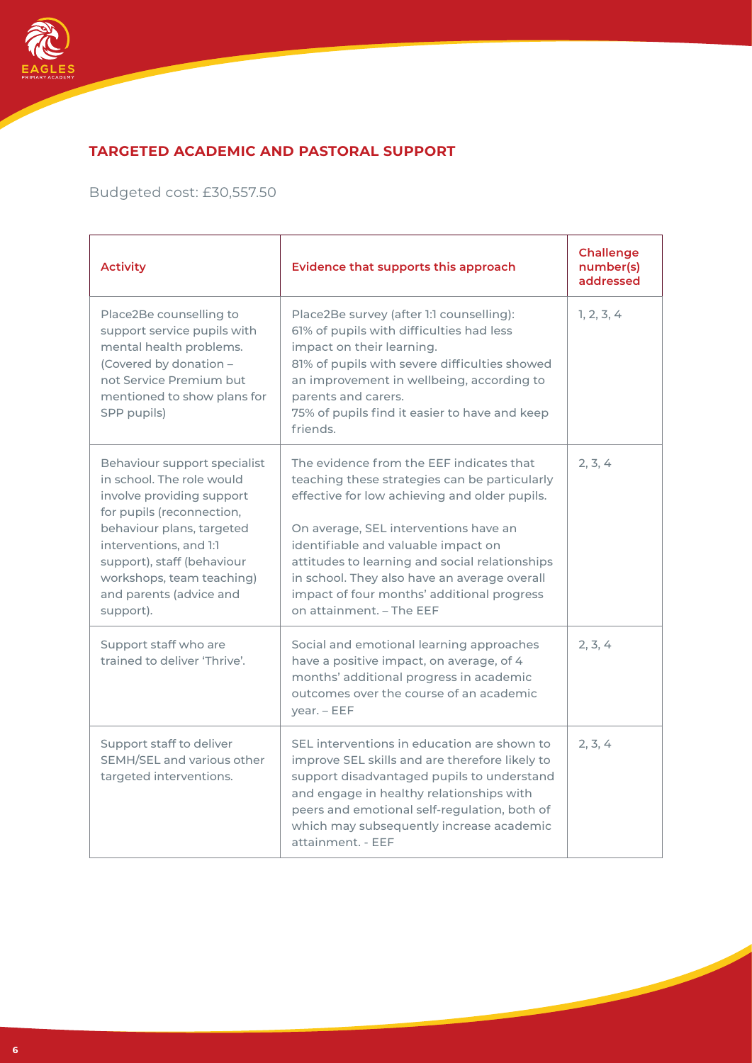

# **TARGETED ACADEMIC AND PASTORAL SUPPORT**

Budgeted cost: £30,557.50

| <b>Activity</b>                                                                                                                                                                                                                                                               | Evidence that supports this approach                                                                                                                                                                                                                                                                                                                                                                   | <b>Challenge</b><br>number(s)<br>addressed |
|-------------------------------------------------------------------------------------------------------------------------------------------------------------------------------------------------------------------------------------------------------------------------------|--------------------------------------------------------------------------------------------------------------------------------------------------------------------------------------------------------------------------------------------------------------------------------------------------------------------------------------------------------------------------------------------------------|--------------------------------------------|
| Place2Be counselling to<br>support service pupils with<br>mental health problems.<br>(Covered by donation -<br>not Service Premium but<br>mentioned to show plans for<br>SPP pupils)                                                                                          | Place2Be survey (after 1:1 counselling):<br>61% of pupils with difficulties had less<br>impact on their learning.<br>81% of pupils with severe difficulties showed<br>an improvement in wellbeing, according to<br>parents and carers.<br>75% of pupils find it easier to have and keep<br>friends.                                                                                                    | 1, 2, 3, 4                                 |
| Behaviour support specialist<br>in school. The role would<br>involve providing support<br>for pupils (reconnection,<br>behaviour plans, targeted<br>interventions, and 1:1<br>support), staff (behaviour<br>workshops, team teaching)<br>and parents (advice and<br>support). | The evidence from the EEF indicates that<br>teaching these strategies can be particularly<br>effective for low achieving and older pupils.<br>On average, SEL interventions have an<br>identifiable and valuable impact on<br>attitudes to learning and social relationships<br>in school. They also have an average overall<br>impact of four months' additional progress<br>on attainment. - The EEF | 2, 3, 4                                    |
| Support staff who are<br>trained to deliver 'Thrive'.                                                                                                                                                                                                                         | Social and emotional learning approaches<br>have a positive impact, on average, of 4<br>months' additional progress in academic<br>outcomes over the course of an academic<br>year. - EEF                                                                                                                                                                                                              | 2, 3, 4                                    |
| Support staff to deliver<br>SEMH/SEL and various other<br>targeted interventions.                                                                                                                                                                                             | SEL interventions in education are shown to<br>improve SEL skills and are therefore likely to<br>support disadvantaged pupils to understand<br>and engage in healthy relationships with<br>peers and emotional self-regulation, both of<br>which may subsequently increase academic<br>attainment. - EEF                                                                                               | 2, 3, 4                                    |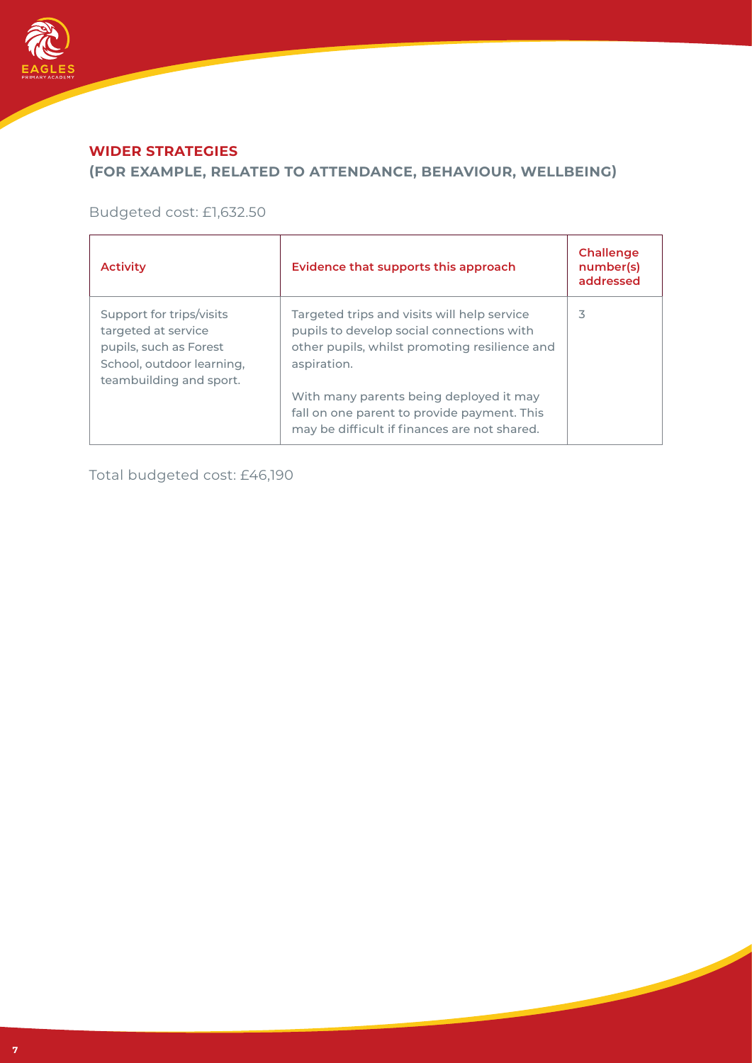

## **WIDER STRATEGIES**

## **(FOR EXAMPLE, RELATED TO ATTENDANCE, BEHAVIOUR, WELLBEING)**

Budgeted cost: £1,632.50

| <b>Activity</b>                                                                                                                   | Evidence that supports this approach                                                                                                                                                                                                                                                               | Challenge<br>number(s)<br>addressed |
|-----------------------------------------------------------------------------------------------------------------------------------|----------------------------------------------------------------------------------------------------------------------------------------------------------------------------------------------------------------------------------------------------------------------------------------------------|-------------------------------------|
| Support for trips/visits<br>targeted at service<br>pupils, such as Forest<br>School, outdoor learning,<br>teambuilding and sport. | Targeted trips and visits will help service<br>pupils to develop social connections with<br>other pupils, whilst promoting resilience and<br>aspiration.<br>With many parents being deployed it may<br>fall on one parent to provide payment. This<br>may be difficult if finances are not shared. | 3                                   |

Total budgeted cost: £46,190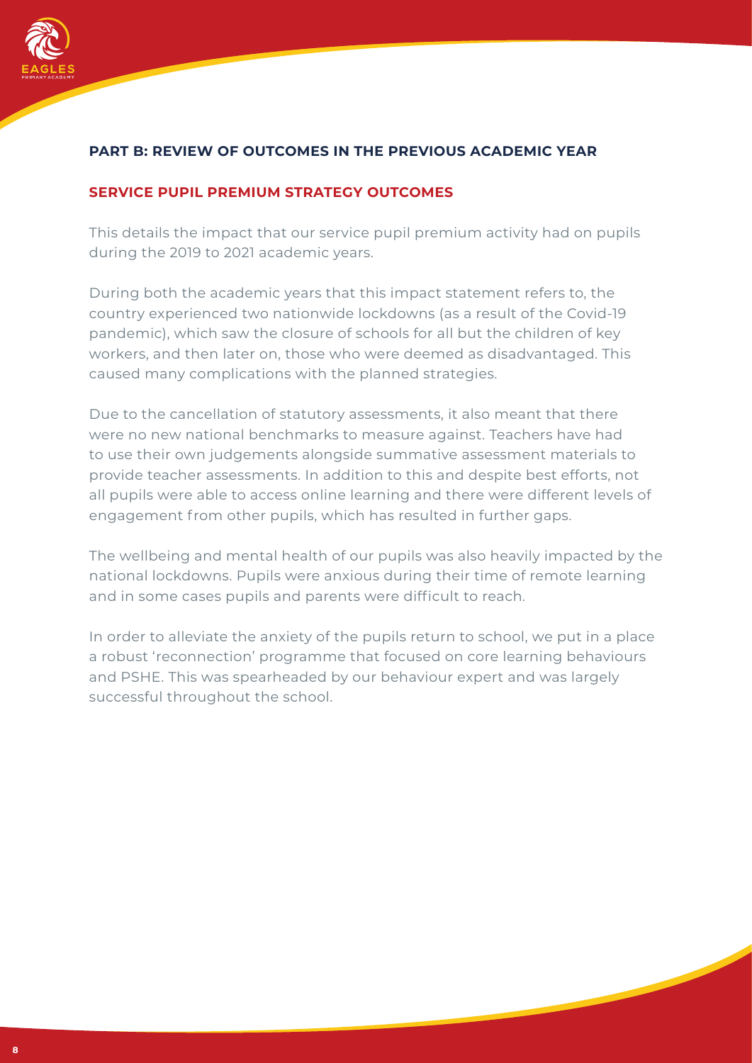

## **PART B: REVIEW OF OUTCOMES IN THE PREVIOUS ACADEMIC YEAR**

#### **SERVICE PUPIL PREMIUM STRATEGY OUTCOMES**

This details the impact that our service pupil premium activity had on pupils during the 2019 to 2021 academic years.

During both the academic years that this impact statement refers to, the country experienced two nationwide lockdowns (as a result of the Covid-19 pandemic), which saw the closure of schools for all but the children of key workers, and then later on, those who were deemed as disadvantaged. This caused many complications with the planned strategies.

Due to the cancellation of statutory assessments, it also meant that there were no new national benchmarks to measure against. Teachers have had to use their own judgements alongside summative assessment materials to provide teacher assessments. In addition to this and despite best efforts, not all pupils were able to access online learning and there were different levels of engagement from other pupils, which has resulted in further gaps.

The wellbeing and mental health of our pupils was also heavily impacted by the national lockdowns. Pupils were anxious during their time of remote learning and in some cases pupils and parents were difficult to reach.

In order to alleviate the anxiety of the pupils return to school, we put in a place a robust 'reconnection' programme that focused on core learning behaviours and PSHE. This was spearheaded by our behaviour expert and was largely successful throughout the school.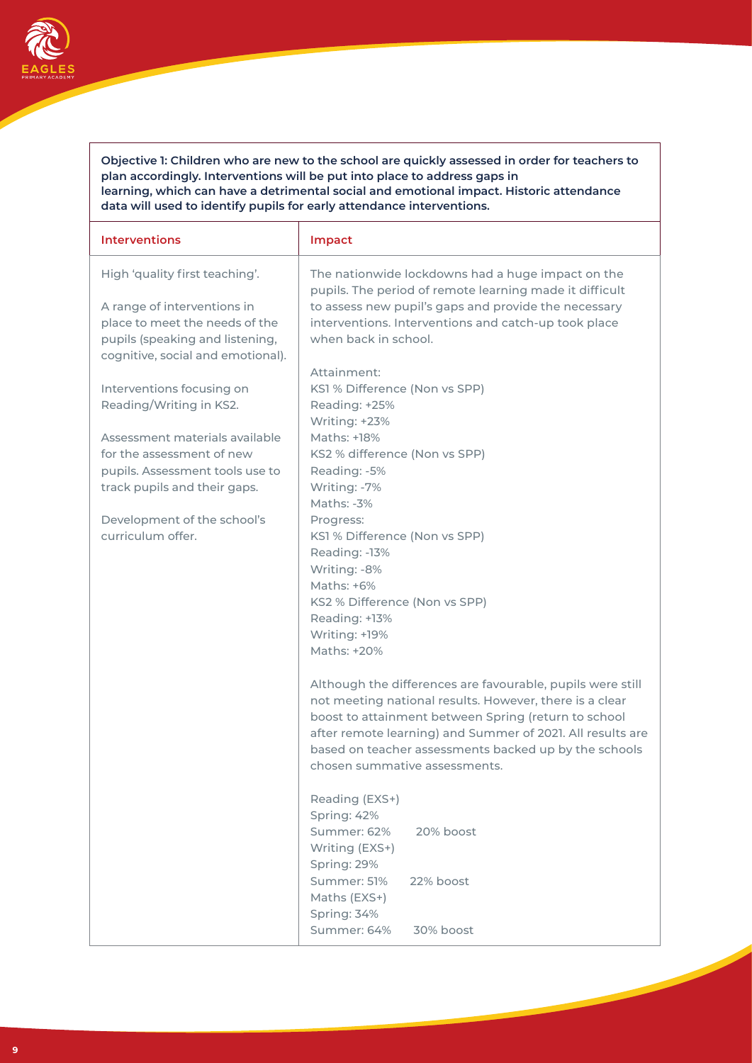

**Objective 1: Children who are new to the school are quickly assessed in order for teachers to plan accordingly. Interventions will be put into place to address gaps in learning, which can have a detrimental social and emotional impact. Historic attendance data will used to identify pupils for early attendance interventions.**

| <b>Interventions</b>                                                                                                                                                                                                                       | Impact                                                                                                                                                                                                                                                                                                                                                                                                                                                                                                                     |
|--------------------------------------------------------------------------------------------------------------------------------------------------------------------------------------------------------------------------------------------|----------------------------------------------------------------------------------------------------------------------------------------------------------------------------------------------------------------------------------------------------------------------------------------------------------------------------------------------------------------------------------------------------------------------------------------------------------------------------------------------------------------------------|
| High 'quality first teaching'.<br>A range of interventions in<br>place to meet the needs of the<br>pupils (speaking and listening,<br>cognitive, social and emotional).                                                                    | The nationwide lockdowns had a huge impact on the<br>pupils. The period of remote learning made it difficult<br>to assess new pupil's gaps and provide the necessary<br>interventions. Interventions and catch-up took place<br>when back in school.                                                                                                                                                                                                                                                                       |
| Interventions focusing on<br>Reading/Writing in KS2.<br>Assessment materials available<br>for the assessment of new<br>pupils. Assessment tools use to<br>track pupils and their gaps.<br>Development of the school's<br>curriculum offer. | Attainment:<br>KS1 % Difference (Non vs SPP)<br>Reading: +25%<br>Writing: +23%<br>Maths: +18%<br>KS2 % difference (Non vs SPP)<br>Reading: -5%<br>Writing: -7%<br>Maths: -3%<br>Progress:<br>KS1 % Difference (Non vs SPP)<br>Reading: -13%<br>Writing: -8%<br>Maths: $+6\%$<br>KS2 % Difference (Non vs SPP)<br>Reading: +13%<br>Writing: +19%<br>Maths: +20%                                                                                                                                                             |
|                                                                                                                                                                                                                                            | Although the differences are favourable, pupils were still<br>not meeting national results. However, there is a clear<br>boost to attainment between Spring (return to school<br>after remote learning) and Summer of 2021. All results are<br>based on teacher assessments backed up by the schools<br>chosen summative assessments.<br>Reading (EXS+)<br>Spring: 42%<br>Summer: 62%<br>20% boost<br>Writing (EXS+)<br>Spring: 29%<br>Summer: 51%<br>22% boost<br>Maths (EXS+)<br>Spring: 34%<br>Summer: 64%<br>30% boost |